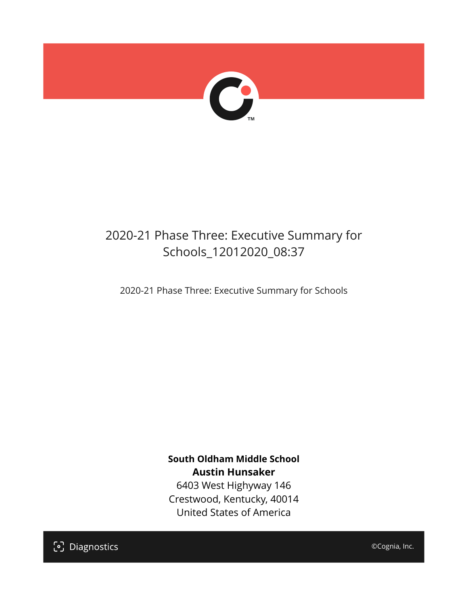

## 2020-21 Phase Three: Executive Summary for Schools\_12012020\_08:37

2020-21 Phase Three: Executive Summary for Schools

**South Oldham Middle School Austin Hunsaker** 6403 West Highyway 146 Crestwood, Kentucky, 40014

United States of America

[၁] Diagnostics

©Cognia, Inc.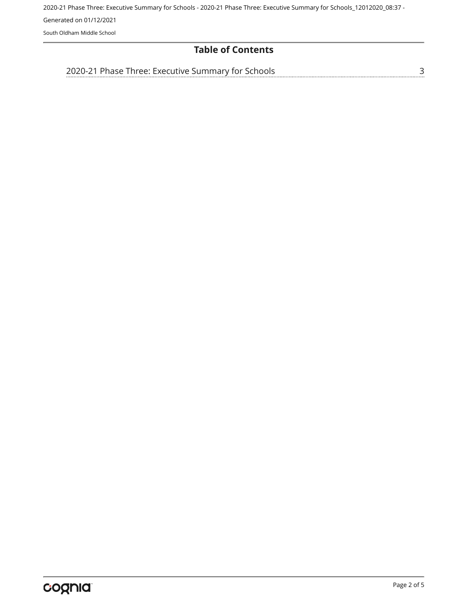## **Table of Contents**

[3](#page-2-0) [2020-21 Phase Three: Executive Summary for Schools](#page-2-0)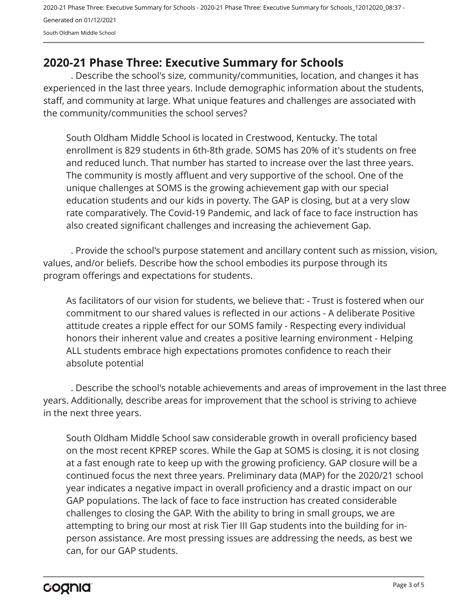## <span id="page-2-0"></span>**2020-21 Phase Three: Executive Summary for Schools**

. Describe the school's size, community/communities, location, and changes it has experienced in the last three years. Include demographic information about the students, staff, and community at large. What unique features and challenges are associated with the community/communities the school serves?

South Oldham Middle School is located in Crestwood, Kentucky. The total enrollment is 829 students in 6th-8th grade. SOMS has 20% of it's students on free and reduced lunch. That number has started to increase over the last three years. The community is mostly affluent and very supportive of the school. One of the unique challenges at SOMS is the growing achievement gap with our special education students and our kids in poverty. The GAP is closing, but at a very slow rate comparatively. The Covid-19 Pandemic, and lack of face to face instruction has also created significant challenges and increasing the achievement Gap.

. Provide the school's purpose statement and ancillary content such as mission, vision, values, and/or beliefs. Describe how the school embodies its purpose through its program offerings and expectations for students.

As facilitators of our vision for students, we believe that: - Trust is fostered when our commitment to our shared values is reflected in our actions - A deliberate Positive attitude creates a ripple effect for our SOMS family - Respecting every individual honors their inherent value and creates a positive learning environment - Helping ALL students embrace high expectations promotes confidence to reach their absolute potential

. Describe the school's notable achievements and areas of improvement in the last three years. Additionally, describe areas for improvement that the school is striving to achieve in the next three years.

South Oldham Middle School saw considerable growth in overall proficiency based on the most recent KPREP scores. While the Gap at SOMS is closing, it is not closing at a fast enough rate to keep up with the growing proficiency. GAP closure will be a continued focus the next three years. Preliminary data (MAP) for the 2020/21 school year indicates a negative impact in overall proficiency and a drastic impact on our GAP populations. The lack of face to face instruction has created considerable challenges to closing the GAP. With the ability to bring in small groups, we are attempting to bring our most at risk Tier III Gap students into the building for inperson assistance. Are most pressing issues are addressing the needs, as best we can, for our GAP students.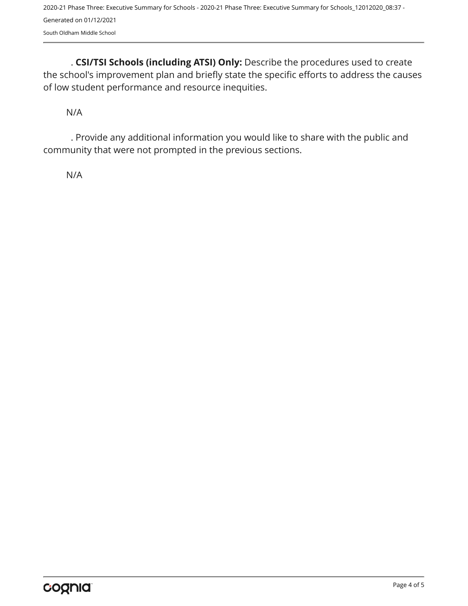. **CSI/TSI Schools (including ATSI) Only:** Describe the procedures used to create the school's improvement plan and briefly state the specific efforts to address the causes of low student performance and resource inequities.

N/A

. Provide any additional information you would like to share with the public and community that were not prompted in the previous sections.

N/A